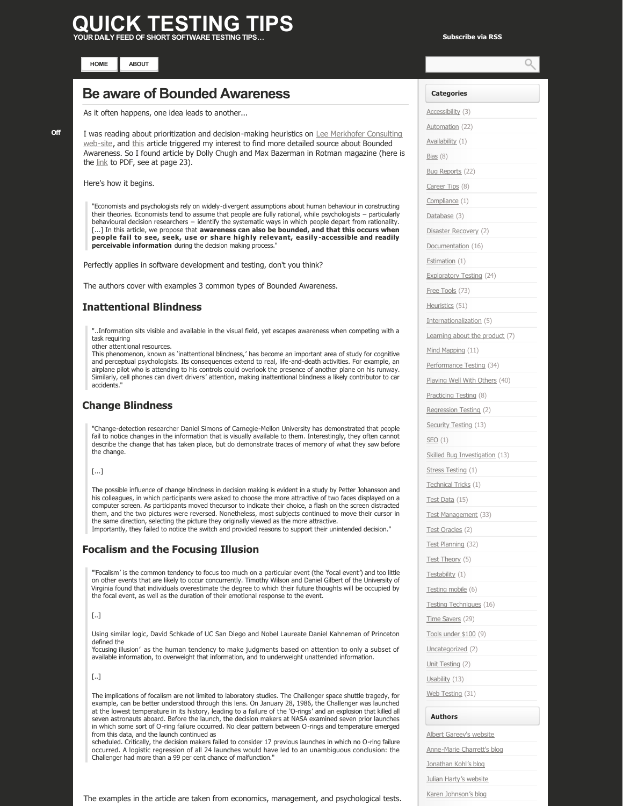# **JICK TESTING**

**[HOME](http://www.quicktestingtips.com/tips) [ABOUT](http://www.quicktestingtips.com/tips/about/)**

# **[Be aware of Bounded Awareness](http://www.quicktestingtips.com/tips/2010/10/be-aware-of-bounded-awareness/)**

As it often happens, one idea leads to another...

I was reading about prioritization and decision-making heuristics on Lee Merkhofer Consulting web-site, and [this](http://www.prioritysystem.com/reasons1c.html) article triggered my interest to find more detailed source about Bounded Awareness. So I found article by Dolly Chugh and Max Bazerman in Rotman magazine (here is the [link](http://www.rotman.utoronto.ca/pdf/spring_07.pdf) to PDF, see at page 23).

Here's how it begins.

"Economists and psychologists rely on widely-divergent assumptions about human behaviour in constructing their theories. Economists tend to assume that people are fully rational, while psychologists – particularly behavioural decision researchers – identify the systematic ways in which people depart from rationality. [...] In this article, we propose that **awareness can also be bounded, and that this occurs when people fail to see, seek, use or share highly relevant, easily accessible and readily perceivable information** during the decision making process.

Perfectly applies in software development and testing, don't you think?

The authors cover with examples 3 common types of Bounded Awareness.

# **Inattentional Blindness**

"..Information sits visible and available in the visual field, yet escapes awareness when competing with a task requiring

other attentional resources.

This phenomenon, known as 'inattentional blindness,' has become an important area of study for cognitive and perceptual psychologists. Its consequences extend to real, life-and-death activities. For example, an airplane pilot who is attending to his controls could overlook the presence of another plane on his runway. Similarly, cell phones can divert drivers' attention, making inattentional blindness a likely contributor to car accidents."

### **Change Blindness**

"Change-detection researcher Daniel Simons of Carnegie-Mellon University has demonstrated that people fail to notice changes in the information that is visually available to them. Interestingly, they often cannot describe the change that has taken place, but do demonstrate traces of memory of what they saw before the change.

#### [...]

The possible influence of change blindness in decision making is evident in a study by Petter Johansson and his colleagues, in which participants were asked to choose the more attractive of two faces displayed on a computer screen. As participants moved thecursor to indicate their choice, a flash on the screen distracted them, and the two pictures were reversed. Nonetheless, most subjects continued to move their cursor in the same direction, selecting the picture they originally viewed as the more attractive. Importantly, they failed to notice the switch and provided reasons to support their unintended decision."

## **Focalism and the Focusing Illusion**

"'Focalism' is the common tendency to focus too much on a particular event (the 'focal event') and too little on other events that are likely to occur concurrently. Timothy Wilson and Daniel Gilbert of the University of Virginia found that individuals overestimate the degree to which their future thoughts will be occupied by the focal event, as well as the duration of their emotional response to the event.

#### [..]

Using similar logic, David Schkade of UC San Diego and Nobel Laureate Daniel Kahneman of Princeton defined the

'focusing illusion' as the human tendency to make judgments based on attention to only a subset of available information, to overweight that information, and to underweight unattended information.

#### [..]

The implications of focalism are not limited to laboratory studies. The Challenger space shuttle tragedy, for example, can be better understood through this lens. On January 28, 1986, the Challenger was launched at the lowest temperature in its history, leading to a failure of the 'O-rings' and an explosion that killed all seven astronauts aboard. Before the launch, the decision makers at NASA examined seven prior launches in which some sort of O-ring failure occurred. No clear pattern between O-rings and temperature emerged from this data, and the launch continued as

scheduled. Critically, the decision makers failed to consider 17 previous launches in which no O-ring failure occurred. A logistic regression of all 24 launches would have led to an unambiguous conclusion: the Challenger had more than a 99 per cent chance of malfunction."

The examples in the article are taken from economics, management, and psychological tests.

| <b>Categories</b>              |
|--------------------------------|
| Accessibility (3)              |
| Automation (22)                |
| Availability (1)               |
| <u>Bias</u> (8)                |
| Bug Reports (22)               |
| Career Tips (8)                |
| Compliance (1)                 |
| Database (3)                   |
| Disaster Recovery (2)          |
| <u>Documentation</u> (16)      |
| Estimation (1)                 |
| Exploratory Testing (24)       |
| Free Tools (73)                |
| Heuristics (51)                |
| Internationalization (5)       |
| Learning about the product (7) |
| Mind Mapping (11)              |
| Performance Testing (34)       |
| Playing Well With Others (40)  |
| Practicing Testing (8)         |
| Regression Testing (2)         |
| Security Testing (13)          |
| SEO (1)                        |
| Skilled Bug Investigation (13) |
| Stress Testing (1)             |
| <u> Technical Tricks</u> (1)   |
| Test Data (15)                 |
| <u>Test Management</u> (33)    |
| Test Oracles (2)               |
| Test Planning (32)             |
| Test Theory (5)                |
| <u>Testability</u> (1)         |
| Testing mobile (6)             |
| Testing Techniques (16)        |
| Time Savers (29)               |
| Tools under \$100 (9)          |
| Uncategorized (2)              |
| Unit Testing (2)               |
| Usability (13)                 |
| Web Testing (31)               |
|                                |

#### **Authors**

[Albert Gareev's website](http://automation-beyond.com/)

Anne-Marie Charrett's blog

[Jonathan Kohl's blog](http://www.kohl.ca/blog/)

[Julian Harty's website](http://sites.google.com/a/julianharty.org/testing/Home)

[Karen Johnson's blog](http://www.testingreflections.com/blog/3804)

**[Off](http://www.quicktestingtips.com/tips/2010/10/be-aware-of-bounded-awareness/#comments)**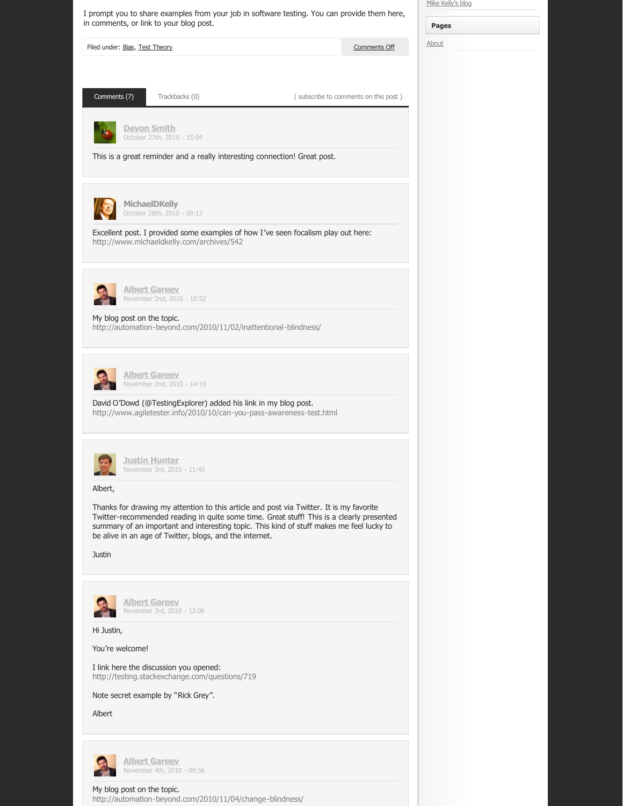| Comments (7)<br>Trackbacks (0)<br>(subscribe to comments on this post)<br><b>Devon Smith</b><br>October 27th, 2010 - 15:04<br>This is a great reminder and a really interesting connection! Great post.<br><b>MichaelDKelly</b><br>October 28th, 2010 - 08:13<br>Excellent post. I provided some examples of how I've seen focalism play out here:<br>http://www.michaeldkelly.com/archives/542<br><b>Albert Gareev</b><br>November 2nd, 2010 - 10:52<br>My blog post on the topic.<br>http://automation-beyond.com/2010/11/02/inattentional-blindness/<br><b>Albert Gareev</b><br>November 2nd, 2010 - 14:19<br>David O'Dowd (@TestingExplorer) added his link in my blog post.<br>http://www.agiletester.info/2010/10/can-you-pass-awareness-test.html<br><u>Justin Hunter</u><br>November 3rd, 2010 - 11:40<br>Albert,<br>Thanks for drawing my attention to this article and post via Twitter. It is my favorite<br>Twitter-recommended reading in quite some time. Great stuff! This is a clearly presented<br>summary of an important and interesting topic. This kind of stuff makes me feel lucky to<br>be alive in an age of Twitter, blogs, and the internet.<br>Justin<br><b>Albert Gareev</b><br>November 3rd, 2010 - 12:06<br>Hi Justin,<br>You're welcome!<br>I link here the discussion you opened:<br>http://testing.stackexchange.com/questions/719<br>Note secret example by "Rick Grey".<br>Albert<br>Albert Gareev | Filed under: Bias, Test Theory | Comments Off | About |
|----------------------------------------------------------------------------------------------------------------------------------------------------------------------------------------------------------------------------------------------------------------------------------------------------------------------------------------------------------------------------------------------------------------------------------------------------------------------------------------------------------------------------------------------------------------------------------------------------------------------------------------------------------------------------------------------------------------------------------------------------------------------------------------------------------------------------------------------------------------------------------------------------------------------------------------------------------------------------------------------------------------------------------------------------------------------------------------------------------------------------------------------------------------------------------------------------------------------------------------------------------------------------------------------------------------------------------------------------------------------------------------------------------------------------------------|--------------------------------|--------------|-------|
|                                                                                                                                                                                                                                                                                                                                                                                                                                                                                                                                                                                                                                                                                                                                                                                                                                                                                                                                                                                                                                                                                                                                                                                                                                                                                                                                                                                                                                        |                                |              |       |
|                                                                                                                                                                                                                                                                                                                                                                                                                                                                                                                                                                                                                                                                                                                                                                                                                                                                                                                                                                                                                                                                                                                                                                                                                                                                                                                                                                                                                                        |                                |              |       |
|                                                                                                                                                                                                                                                                                                                                                                                                                                                                                                                                                                                                                                                                                                                                                                                                                                                                                                                                                                                                                                                                                                                                                                                                                                                                                                                                                                                                                                        |                                |              |       |
|                                                                                                                                                                                                                                                                                                                                                                                                                                                                                                                                                                                                                                                                                                                                                                                                                                                                                                                                                                                                                                                                                                                                                                                                                                                                                                                                                                                                                                        |                                |              |       |
|                                                                                                                                                                                                                                                                                                                                                                                                                                                                                                                                                                                                                                                                                                                                                                                                                                                                                                                                                                                                                                                                                                                                                                                                                                                                                                                                                                                                                                        |                                |              |       |
|                                                                                                                                                                                                                                                                                                                                                                                                                                                                                                                                                                                                                                                                                                                                                                                                                                                                                                                                                                                                                                                                                                                                                                                                                                                                                                                                                                                                                                        |                                |              |       |
|                                                                                                                                                                                                                                                                                                                                                                                                                                                                                                                                                                                                                                                                                                                                                                                                                                                                                                                                                                                                                                                                                                                                                                                                                                                                                                                                                                                                                                        |                                |              |       |
|                                                                                                                                                                                                                                                                                                                                                                                                                                                                                                                                                                                                                                                                                                                                                                                                                                                                                                                                                                                                                                                                                                                                                                                                                                                                                                                                                                                                                                        |                                |              |       |
|                                                                                                                                                                                                                                                                                                                                                                                                                                                                                                                                                                                                                                                                                                                                                                                                                                                                                                                                                                                                                                                                                                                                                                                                                                                                                                                                                                                                                                        |                                |              |       |
|                                                                                                                                                                                                                                                                                                                                                                                                                                                                                                                                                                                                                                                                                                                                                                                                                                                                                                                                                                                                                                                                                                                                                                                                                                                                                                                                                                                                                                        |                                |              |       |
|                                                                                                                                                                                                                                                                                                                                                                                                                                                                                                                                                                                                                                                                                                                                                                                                                                                                                                                                                                                                                                                                                                                                                                                                                                                                                                                                                                                                                                        |                                |              |       |
|                                                                                                                                                                                                                                                                                                                                                                                                                                                                                                                                                                                                                                                                                                                                                                                                                                                                                                                                                                                                                                                                                                                                                                                                                                                                                                                                                                                                                                        |                                |              |       |
|                                                                                                                                                                                                                                                                                                                                                                                                                                                                                                                                                                                                                                                                                                                                                                                                                                                                                                                                                                                                                                                                                                                                                                                                                                                                                                                                                                                                                                        |                                |              |       |
|                                                                                                                                                                                                                                                                                                                                                                                                                                                                                                                                                                                                                                                                                                                                                                                                                                                                                                                                                                                                                                                                                                                                                                                                                                                                                                                                                                                                                                        |                                |              |       |
|                                                                                                                                                                                                                                                                                                                                                                                                                                                                                                                                                                                                                                                                                                                                                                                                                                                                                                                                                                                                                                                                                                                                                                                                                                                                                                                                                                                                                                        |                                |              |       |
|                                                                                                                                                                                                                                                                                                                                                                                                                                                                                                                                                                                                                                                                                                                                                                                                                                                                                                                                                                                                                                                                                                                                                                                                                                                                                                                                                                                                                                        |                                |              |       |
|                                                                                                                                                                                                                                                                                                                                                                                                                                                                                                                                                                                                                                                                                                                                                                                                                                                                                                                                                                                                                                                                                                                                                                                                                                                                                                                                                                                                                                        |                                |              |       |
|                                                                                                                                                                                                                                                                                                                                                                                                                                                                                                                                                                                                                                                                                                                                                                                                                                                                                                                                                                                                                                                                                                                                                                                                                                                                                                                                                                                                                                        |                                |              |       |
| November 4th, 2010 - 09:56                                                                                                                                                                                                                                                                                                                                                                                                                                                                                                                                                                                                                                                                                                                                                                                                                                                                                                                                                                                                                                                                                                                                                                                                                                                                                                                                                                                                             |                                |              |       |